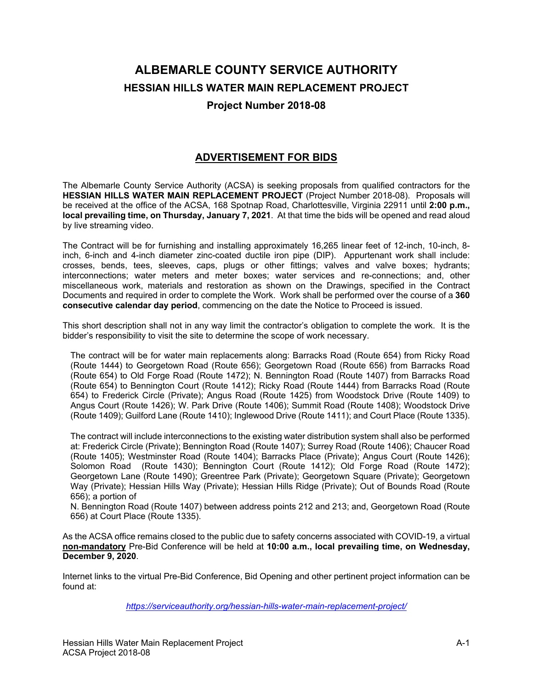## **ALBEMARLE COUNTY SERVICE AUTHORITY HESSIAN HILLS WATER MAIN REPLACEMENT PROJECT**

## **Project Number 2018-08**

## **ADVERTISEMENT FOR BIDS**

The Albemarle County Service Authority (ACSA) is seeking proposals from qualified contractors for the **HESSIAN HILLS WATER MAIN REPLACEMENT PROJECT** (Project Number 2018-08). Proposals will be received at the office of the ACSA, 168 Spotnap Road, Charlottesville, Virginia 22911 until **2:00 p.m., local prevailing time, on Thursday, January 7, 2021**. At that time the bids will be opened and read aloud by live streaming video.

The Contract will be for furnishing and installing approximately 16,265 linear feet of 12-inch, 10-inch, 8 inch, 6-inch and 4-inch diameter zinc-coated ductile iron pipe (DIP). Appurtenant work shall include: crosses, bends, tees, sleeves, caps, plugs or other fittings; valves and valve boxes; hydrants; interconnections; water meters and meter boxes; water services and re-connections; and, other miscellaneous work, materials and restoration as shown on the Drawings, specified in the Contract Documents and required in order to complete the Work. Work shall be performed over the course of a **360 consecutive calendar day period**, commencing on the date the Notice to Proceed is issued.

This short description shall not in any way limit the contractor's obligation to complete the work. It is the bidder's responsibility to visit the site to determine the scope of work necessary.

The contract will be for water main replacements along: Barracks Road (Route 654) from Ricky Road (Route 1444) to Georgetown Road (Route 656); Georgetown Road (Route 656) from Barracks Road (Route 654) to Old Forge Road (Route 1472); N. Bennington Road (Route 1407) from Barracks Road (Route 654) to Bennington Court (Route 1412); Ricky Road (Route 1444) from Barracks Road (Route 654) to Frederick Circle (Private); Angus Road (Route 1425) from Woodstock Drive (Route 1409) to Angus Court (Route 1426); W. Park Drive (Route 1406); Summit Road (Route 1408); Woodstock Drive (Route 1409); Guilford Lane (Route 1410); Inglewood Drive (Route 1411); and Court Place (Route 1335).

The contract will include interconnections to the existing water distribution system shall also be performed at: Frederick Circle (Private); Bennington Road (Route 1407); Surrey Road (Route 1406); Chaucer Road (Route 1405); Westminster Road (Route 1404); Barracks Place (Private); Angus Court (Route 1426); Solomon Road (Route 1430); Bennington Court (Route 1412); Old Forge Road (Route 1472); Georgetown Lane (Route 1490); Greentree Park (Private); Georgetown Square (Private); Georgetown Way (Private); Hessian Hills Way (Private); Hessian Hills Ridge (Private); Out of Bounds Road (Route 656); a portion of

N. Bennington Road (Route 1407) between address points 212 and 213; and, Georgetown Road (Route 656) at Court Place (Route 1335).

As the ACSA office remains closed to the public due to safety concerns associated with COVID-19, a virtual **non-mandatory** Pre-Bid Conference will be held at **10:00 a.m., local prevailing time, on Wednesday, December 9, 2020**.

Internet links to the virtual Pre-Bid Conference, Bid Opening and other pertinent project information can be found at:

*<https://serviceauthority.org/hessian-hills-water-main-replacement-project/>*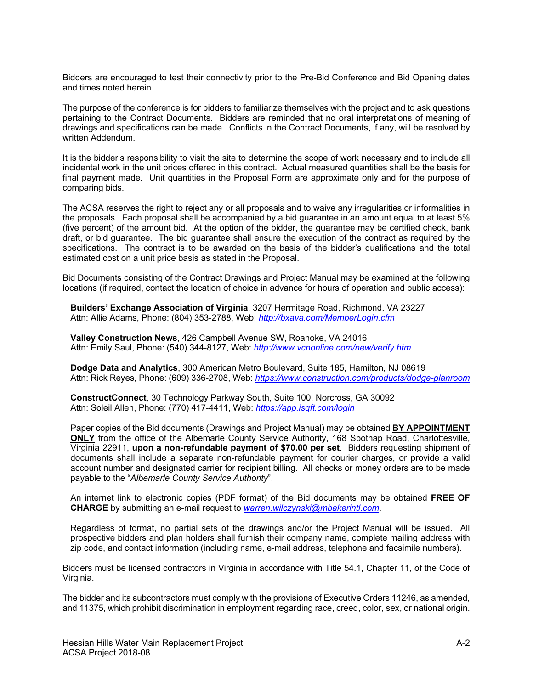Bidders are encouraged to test their connectivity prior to the Pre-Bid Conference and Bid Opening dates and times noted herein.

The purpose of the conference is for bidders to familiarize themselves with the project and to ask questions pertaining to the Contract Documents. Bidders are reminded that no oral interpretations of meaning of drawings and specifications can be made. Conflicts in the Contract Documents, if any, will be resolved by written Addendum.

It is the bidder's responsibility to visit the site to determine the scope of work necessary and to include all incidental work in the unit prices offered in this contract. Actual measured quantities shall be the basis for final payment made. Unit quantities in the Proposal Form are approximate only and for the purpose of comparing bids.

The ACSA reserves the right to reject any or all proposals and to waive any irregularities or informalities in the proposals. Each proposal shall be accompanied by a bid guarantee in an amount equal to at least 5% (five percent) of the amount bid. At the option of the bidder, the guarantee may be certified check, bank draft, or bid guarantee. The bid guarantee shall ensure the execution of the contract as required by the specifications. The contract is to be awarded on the basis of the bidder's qualifications and the total estimated cost on a unit price basis as stated in the Proposal.

Bid Documents consisting of the Contract Drawings and Project Manual may be examined at the following locations (if required, contact the location of choice in advance for hours of operation and public access):

**Builders' Exchange Association of Virginia**, 3207 Hermitage Road, Richmond, VA 23227 Attn: Allie Adams, Phone: (804) 353-2788, Web: *<http://bxava.com/MemberLogin.cfm>*

**Valley Construction News**, 426 Campbell Avenue SW, Roanoke, VA 24016 Attn: Emily Saul, Phone: (540) 344-8127, Web: *<http://www.vcnonline.com/new/verify.htm>*

**Dodge Data and Analytics**, 300 American Metro Boulevard, Suite 185, Hamilton, NJ 08619 Attn: Rick Reyes, Phone: (609) 336-2708, Web: *<https://www.construction.com/products/dodge-planroom>*

**ConstructConnect**, 30 Technology Parkway South, Suite 100, Norcross, GA 30092 Attn: Soleil Allen, Phone: (770) 417-4411, Web: *<https://app.isqft.com/login>*

Paper copies of the Bid documents (Drawings and Project Manual) may be obtained **BY APPOINTMENT ONLY** from the office of the Albemarle County Service Authority, 168 Spotnap Road, Charlottesville, Virginia 22911, **upon a non-refundable payment of \$70.00 per set**. Bidders requesting shipment of documents shall include a separate non-refundable payment for courier charges, or provide a valid account number and designated carrier for recipient billing. All checks or money orders are to be made payable to the "*Albemarle County Service Authority*".

An internet link to electronic copies (PDF format) of the Bid documents may be obtained **FREE OF CHARGE** by submitting an e-mail request to *[warren.wilczynski@mbakerintl.com](mailto:warren.wilczynski@mbakerintl.com?subject=Request%20for%20Bid%20Docs%20(ACSA%202018-08))*.

Regardless of format, no partial sets of the drawings and/or the Project Manual will be issued. All prospective bidders and plan holders shall furnish their company name, complete mailing address with zip code, and contact information (including name, e-mail address, telephone and facsimile numbers).

Bidders must be licensed contractors in Virginia in accordance with Title 54.1, Chapter 11, of the Code of Virginia.

The bidder and its subcontractors must comply with the provisions of Executive Orders 11246, as amended, and 11375, which prohibit discrimination in employment regarding race, creed, color, sex, or national origin.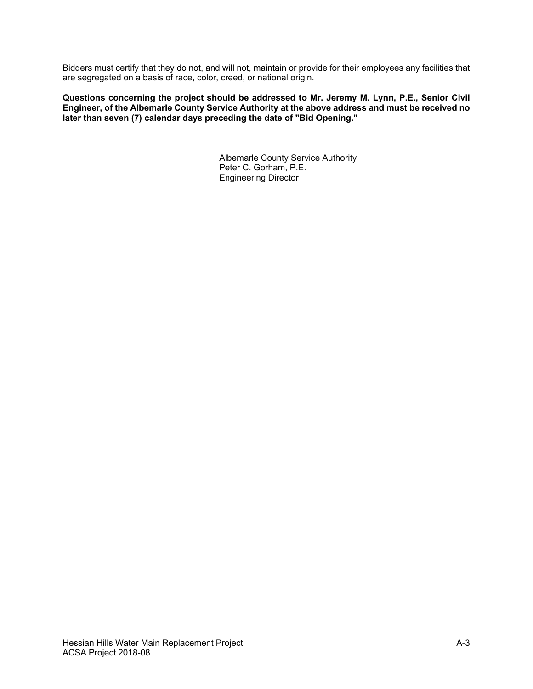Bidders must certify that they do not, and will not, maintain or provide for their employees any facilities that are segregated on a basis of race, color, creed, or national origin.

**Questions concerning the project should be addressed to Mr. Jeremy M. Lynn, P.E., Senior Civil Engineer, of the Albemarle County Service Authority at the above address and must be received no later than seven (7) calendar days preceding the date of "Bid Opening."**

> Albemarle County Service Authority Peter C. Gorham, P.E. Engineering Director